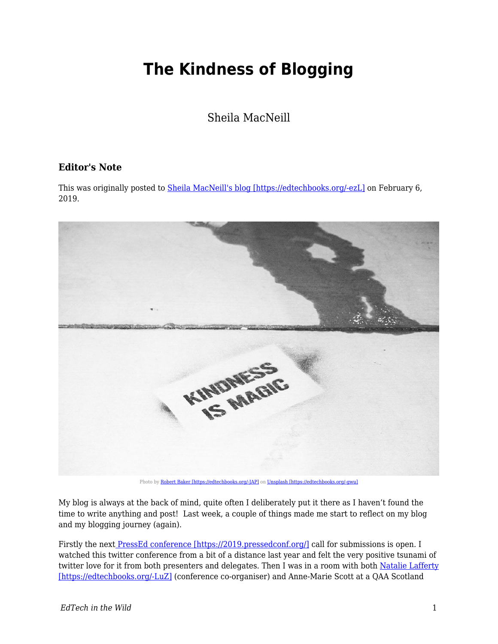## **The Kindness of Blogging**

Sheila MacNeill

## **Editor's Note**

This was originally posted to **Sheila MacNeill's blog [https://edtechbooks.org/-ezL]** on February 6, 2019.



Photo by [Robert Baker \[https://edtechbooks.org/-JAP\]](https://unsplash.com/photos/D31DC07KZds?utm_source=unsplash&utm_medium=referral&utm_content=creditCopyText) on [Unsplash \[https://edtechbooks.org/-gwu\]](https://unsplash.com/search/photos/kindness?utm_source=unsplash&utm_medium=referral&utm_content=creditCopyText)

My blog is always at the back of mind, quite often I deliberately put it there as I haven't found the time to write anything and post! Last week, a couple of things made me start to reflect on my blog and my blogging journey (again).

Firstly the next [PressEd conference \[https://2019.pressedconf.org/\]](https://2019.pressedconf.org/) call for submissions is open. I watched this twitter conference from a bit of a distance last year and felt the very positive tsunami of twitter love for it from both presenters and delegates. Then I was in a room with both [Natalie Lafferty](https://twitter.com/nlafferty?lang=en) [\[https://edtechbooks.org/-LuZ\]](https://twitter.com/nlafferty?lang=en) (conference co-organiser) and Anne-Marie Scott at a QAA Scotland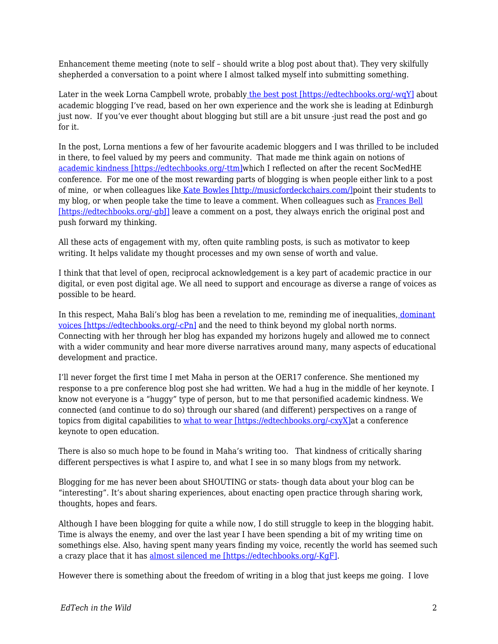Enhancement theme meeting (note to self – should write a blog post about that). They very skilfully shepherded a conversation to a point where I almost talked myself into submitting something.

Later in the week Lorna Campbell wrote, probably [the best post \[https://edtechbooks.org/-wqY\]](http://lornamcampbell.org/blogging/have-no-fear-learning-to-love-your-blog/) about academic blogging I've read, based on her own experience and the work she is leading at Edinburgh just now. If you've ever thought about blogging but still are a bit unsure -just read the post and go for it.

In the post, Lorna mentions a few of her favourite academic bloggers and I was thrilled to be included in there, to feel valued by my peers and community. That made me think again on notions of [academic kindness \[https://edtechbooks.org/-ttm\]](https://howsheilaseesit.net/general/some-reflections-fromsocmedhe18/)which I reflected on after the recent SocMedHE conference. For me one of the most rewarding parts of blogging is when people either link to a post of mine, or when colleagues like [Kate Bowles \[http://musicfordeckchairs.com/\]p](http://musicfordeckchairs.com/)oint their students to my blog, or when people take the time to leave a comment. When colleagues such as [Frances Bell](https://francesbell.com/all-the-blog/) [\[https://edtechbooks.org/-gbJ\]](https://francesbell.com/all-the-blog/) leave a comment on a post, they always enrich the original post and push forward my thinking.

All these acts of engagement with my, often quite rambling posts, is such as motivator to keep writing. It helps validate my thought processes and my own sense of worth and value.

I think that that level of open, reciprocal acknowledgement is a key part of academic practice in our digital, or even post digital age. We all need to support and encourage as diverse a range of voices as possible to be heard.

In this respect, Maha Bali's blog has been a revelation to me, reminding me of inequalities[, dominant](https://blog.mahabali.me/whyopen/how-little-people-can-be-invisible-in-the-open-cccert/) [voices \[https://edtechbooks.org/-cPn\]](https://blog.mahabali.me/whyopen/how-little-people-can-be-invisible-in-the-open-cccert/) and the need to think beyond my global north norms. Connecting with her through her blog has expanded my horizons hugely and allowed me to connect with a wider community and hear more diverse narratives around many, many aspects of educational development and practice.

I'll never forget the first time I met Maha in person at the OER17 conference. She mentioned my response to a pre conference blog post she had written. We had a hug in the middle of her keynote. I know not everyone is a "huggy" type of person, but to me that personified academic kindness. We connected (and continue to do so) through our shared (and different) perspectives on a range of topics from digital capabilities to [what to wear \[https://edtechbooks.org/-cxyX\]](https://howsheilaseesit.net/uncategorized/not-so-much-the-a-case-of-the-wrong-trousers-more-like-a-wardrobe-malfunction-my-story-for-oer17/)at a conference keynote to open education.

There is also so much hope to be found in Maha's writing too. That kindness of critically sharing different perspectives is what I aspire to, and what I see in so many blogs from my network.

Blogging for me has never been about SHOUTING or stats- though data about your blog can be "interesting". It's about sharing experiences, about enacting open practice through sharing work, thoughts, hopes and fears.

Although I have been blogging for quite a while now, I do still struggle to keep in the blogging habit. Time is always the enemy, and over the last year I have been spending a bit of my writing time on somethings else. Also, having spent many years finding my voice, recently the world has seemed such a crazy place that it has [almost silenced me \[https://edtechbooks.org/-KgF\].](https://howsheilaseesit.net/politics/5-years-on-and-struggling-with-my-silence/)

However there is something about the freedom of writing in a blog that just keeps me going. I love